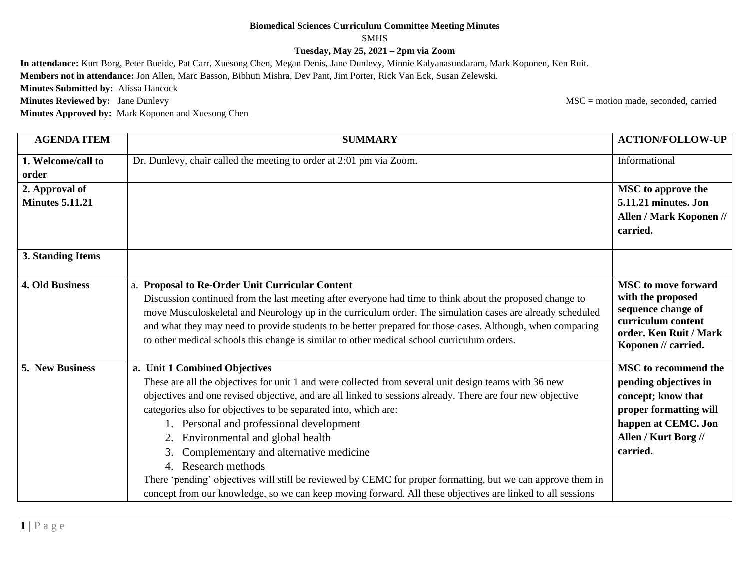## **Biomedical Sciences Curriculum Committee Meeting Minutes**

## SMHS

**Tuesday, May 25, 2021 – 2pm via Zoom**

**In attendance:** Kurt Borg, Peter Bueide, Pat Carr, Xuesong Chen, Megan Denis, Jane Dunlevy, Minnie Kalyanasundaram, Mark Koponen, Ken Ruit.

**Members not in attendance:** Jon Allen, Marc Basson, Bibhuti Mishra, Dev Pant, Jim Porter, Rick Van Eck, Susan Zelewski.

**Minutes Submitted by:** Alissa Hancock

**Minutes Approved by:** Mark Koponen and Xuesong Chen

**Minutes Reviewed by:** Jane Dunlevy MSC = motion made, seconded, carried

| <b>AGENDA ITEM</b>     | <b>SUMMARY</b>                                                                                              | <b>ACTION/FOLLOW-UP</b>                  |
|------------------------|-------------------------------------------------------------------------------------------------------------|------------------------------------------|
| 1. Welcome/call to     | Dr. Dunlevy, chair called the meeting to order at 2:01 pm via Zoom.                                         | Informational                            |
| order                  |                                                                                                             |                                          |
| 2. Approval of         |                                                                                                             | <b>MSC</b> to approve the                |
| <b>Minutes 5.11.21</b> |                                                                                                             | 5.11.21 minutes. Jon                     |
|                        |                                                                                                             | Allen / Mark Koponen //                  |
|                        |                                                                                                             | carried.                                 |
| 3. Standing Items      |                                                                                                             |                                          |
| <b>4. Old Business</b> | a. Proposal to Re-Order Unit Curricular Content                                                             | <b>MSC</b> to move forward               |
|                        | Discussion continued from the last meeting after everyone had time to think about the proposed change to    | with the proposed                        |
|                        | move Musculoskeletal and Neurology up in the curriculum order. The simulation cases are already scheduled   | sequence change of<br>curriculum content |
|                        | and what they may need to provide students to be better prepared for those cases. Although, when comparing  | order. Ken Ruit / Mark                   |
|                        | to other medical schools this change is similar to other medical school curriculum orders.                  | Koponen // carried.                      |
| 5. New Business        | a. Unit 1 Combined Objectives                                                                               | <b>MSC</b> to recommend the              |
|                        | These are all the objectives for unit 1 and were collected from several unit design teams with 36 new       | pending objectives in                    |
|                        | objectives and one revised objective, and are all linked to sessions already. There are four new objective  | concept; know that                       |
|                        | categories also for objectives to be separated into, which are:                                             | proper formatting will                   |
|                        | 1. Personal and professional development                                                                    | happen at CEMC. Jon                      |
|                        | 2. Environmental and global health                                                                          | Allen / Kurt Borg //                     |
|                        | Complementary and alternative medicine<br>3.                                                                | carried.                                 |
|                        | 4. Research methods                                                                                         |                                          |
|                        | There 'pending' objectives will still be reviewed by CEMC for proper formatting, but we can approve them in |                                          |
|                        | concept from our knowledge, so we can keep moving forward. All these objectives are linked to all sessions  |                                          |